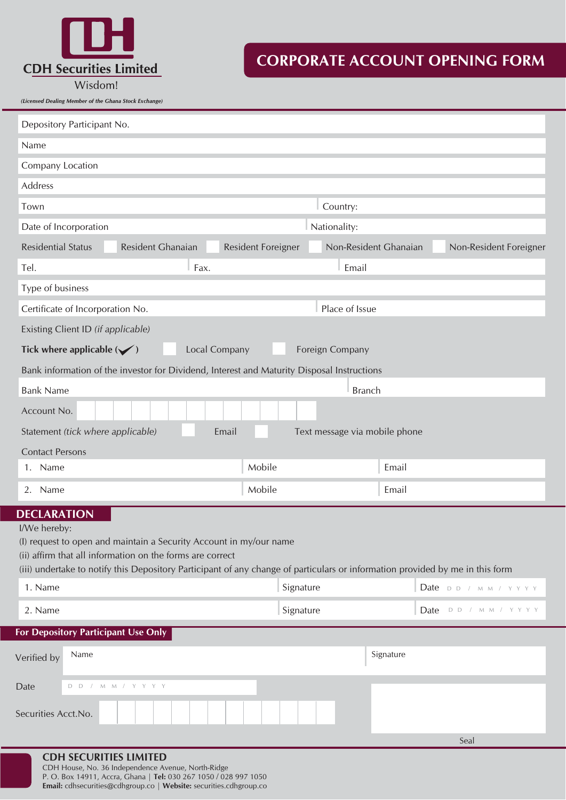

# **CORPORATE ACCOUNT OPENING FORM**

|                                                                          | Wisdom!<br>(Licensed Dealing Member of the Ghana Stock Exchange)                           |       |                           |                               |       |  |
|--------------------------------------------------------------------------|--------------------------------------------------------------------------------------------|-------|---------------------------|-------------------------------|-------|--|
|                                                                          | Depository Participant No.                                                                 |       |                           |                               |       |  |
|                                                                          | Name                                                                                       |       |                           |                               |       |  |
|                                                                          | Company Location                                                                           |       |                           |                               |       |  |
|                                                                          | Address                                                                                    |       |                           |                               |       |  |
|                                                                          | Town                                                                                       |       |                           | Country:                      |       |  |
|                                                                          | Date of Incorporation                                                                      |       |                           | Nationality:                  |       |  |
|                                                                          | <b>Residential Status</b><br><b>Resident Ghanaian</b>                                      |       | <b>Resident Foreigner</b> | Non-Resident Ghanaian         |       |  |
|                                                                          | Tel.                                                                                       | Fax.  |                           | Email                         |       |  |
|                                                                          | Type of business                                                                           |       |                           |                               |       |  |
|                                                                          | Certificate of Incorporation No.                                                           |       |                           | Place of Issue                |       |  |
|                                                                          | Existing Client ID (if applicable)                                                         |       |                           |                               |       |  |
| Tick where applicable $(\checkmark)$<br>Local Company<br>Foreign Company |                                                                                            |       |                           |                               |       |  |
|                                                                          | Bank information of the investor for Dividend, Interest and Maturity Disposal Instructions |       |                           |                               |       |  |
|                                                                          | <b>Bank Name</b>                                                                           |       |                           | <b>Branch</b>                 |       |  |
|                                                                          | Account No.                                                                                |       |                           |                               |       |  |
|                                                                          | Statement (tick where applicable)                                                          | Email |                           | Text message via mobile phone |       |  |
|                                                                          | <b>Contact Persons</b>                                                                     |       |                           |                               |       |  |
|                                                                          | <b>Name</b><br>1.                                                                          |       | Mobile                    |                               | Email |  |

2. Name **Email Email Advisor Contains a Series And Advisor** Mobile **Email** Email

## **DECLARATION**

I/We hereby:

(I) request to open and maintain a Security Account in my/our name

(ii) affirm that all information on the forms are correct

(iii) undertake to notify this Depository Participant of any change of particulars or information provided by me in this form

| 1. Name | Signature | Date DD / MM / YYYY |
|---------|-----------|---------------------|
| 2. Name | Signature | Date DD / MM / YYYY |

### **For Depository Participant Use Only**

| Verified by         | Name                                | Signature |
|---------------------|-------------------------------------|-----------|
| Date                | $D$ $D$ / $M$ $M$ / $Y$ $Y$ $Y$ $Y$ |           |
| Securities Acct.No. |                                     |           |

**Non-Resident Foreigner** 

#### **CDH SECURITIES LIMITED** CDH House, No. 36 Independence Avenue, North-Ridge

P. O. Box 14911, Accra, Ghana | **Tel:** 030 267 1050 / 028 997 1050 **Email:** cdhsecurities@cdhgroup.co | **Website:** securities.cdhgroup.co